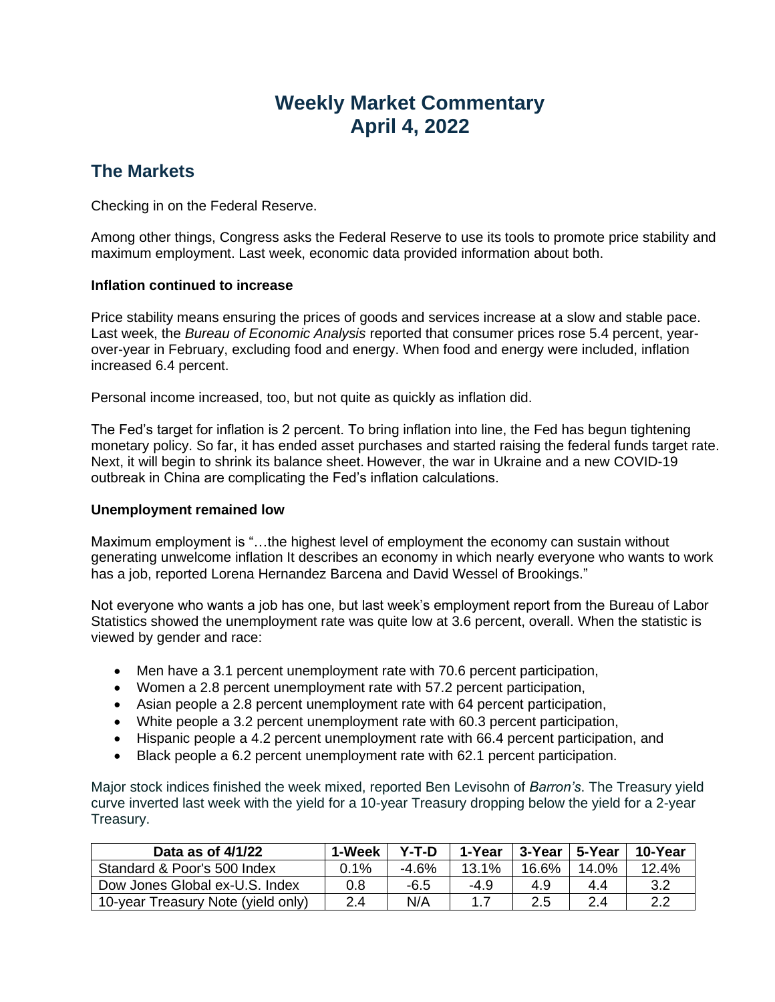# **Weekly Market Commentary April 4, 2022**

## **The Markets**

Checking in on the Federal Reserve.

Among other things, Congress asks the Federal Reserve to use its tools to promote price stability and maximum employment. Last week, economic data provided information about both.

### **Inflation continued to increase**

Price stability means ensuring the prices of goods and services increase at a slow and stable pace. Last week, the *Bureau of Economic Analysis* reported that consumer prices rose 5.4 percent, yearover-year in February, excluding food and energy. When food and energy were included, inflation increased 6.4 percent.

Personal income increased, too, but not quite as quickly as inflation did.

The Fed's target for inflation is 2 percent. To bring inflation into line, the Fed has begun tightening monetary policy. So far, it has ended asset purchases and started raising the federal funds target rate. Next, it will begin to shrink its balance sheet. However, the war in Ukraine and a new COVID-19 outbreak in China are complicating the Fed's inflation calculations.

#### **Unemployment remained low**

Maximum employment is "…the highest level of employment the economy can sustain without generating unwelcome inflation It describes an economy in which nearly everyone who wants to work has a job, reported Lorena Hernandez Barcena and David Wessel of Brookings."

Not everyone who wants a job has one, but last week's employment report from the Bureau of Labor Statistics showed the unemployment rate was quite low at 3.6 percent, overall. When the statistic is viewed by gender and race:

- Men have a 3.1 percent unemployment rate with 70.6 percent participation,
- Women a 2.8 percent unemployment rate with 57.2 percent participation,
- Asian people a 2.8 percent unemployment rate with 64 percent participation,
- White people a 3.2 percent unemployment rate with 60.3 percent participation,
- Hispanic people a 4.2 percent unemployment rate with 66.4 percent participation, and
- Black people a 6.2 percent unemployment rate with 62.1 percent participation.

Major stock indices finished the week mixed, reported Ben Levisohn of *Barron's*. The Treasury yield curve inverted last week with the yield for a 10-year Treasury dropping below the yield for a 2-year Treasury.

| Data as of 4/1/22                  | 1-Week  | $Y-T-D$ | 1-Year | 3-Year | ∣ 5-Year | 10-Year |
|------------------------------------|---------|---------|--------|--------|----------|---------|
| Standard & Poor's 500 Index        | $0.1\%$ | $-4.6%$ | 13.1%  | 16.6%  | 14.0%    | 12.4%   |
| Dow Jones Global ex-U.S. Index     | 0.8     | -6.5    | -4.9   | 4.9    | 44       | 3.2     |
| 10-year Treasury Note (yield only) | 2.4     | N/A     |        | 2.5    | 2.4      | າ າ     |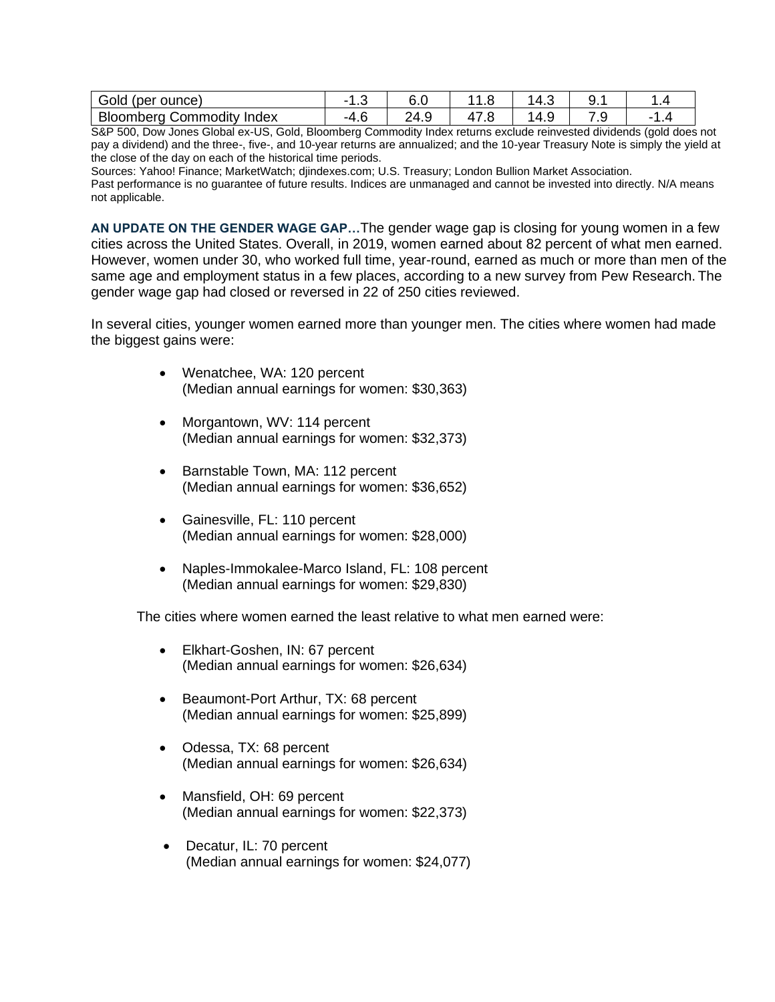| Gold (per ounce)                    | ں،   | 6.0  | .    | ٽ.4' | . J. . |  |
|-------------------------------------|------|------|------|------|--------|--|
| Bloomberg (<br>Index<br>, Commodity | -4.u | 24.9 | 11.U | ـ∖4″ | ٠      |  |

S&P 500, Dow Jones Global ex-US, Gold, Bloomberg Commodity Index returns exclude reinvested dividends (gold does not pay a dividend) and the three-, five-, and 10-year returns are annualized; and the 10-year Treasury Note is simply the yield at the close of the day on each of the historical time periods.

Sources: Yahoo! Finance; MarketWatch; djindexes.com; U.S. Treasury; London Bullion Market Association.

Past performance is no guarantee of future results. Indices are unmanaged and cannot be invested into directly. N/A means not applicable.

**AN UPDATE ON THE GENDER WAGE GAP…**The gender wage gap is closing for young women in a few cities across the United States. Overall, in 2019, women earned about 82 percent of what men earned. However, women under 30, who worked full time, year-round, earned as much or more than men of the same age and employment status in a few places, according to a new survey from Pew Research. The gender wage gap had closed or reversed in 22 of 250 cities reviewed.

In several cities, younger women earned more than younger men. The cities where women had made the biggest gains were:

- Wenatchee, WA: 120 percent (Median annual earnings for women: \$30,363)
- Morgantown, WV: 114 percent (Median annual earnings for women: \$32,373)
- Barnstable Town, MA: 112 percent (Median annual earnings for women: \$36,652)
- Gainesville, FL: 110 percent (Median annual earnings for women: \$28,000)
- Naples-Immokalee-Marco Island, FL: 108 percent (Median annual earnings for women: \$29,830)

The cities where women earned the least relative to what men earned were:

- Elkhart-Goshen, IN: 67 percent (Median annual earnings for women: \$26,634)
- Beaumont-Port Arthur, TX: 68 percent (Median annual earnings for women: \$25,899)
- Odessa, TX: 68 percent (Median annual earnings for women: \$26,634)
- Mansfield, OH: 69 percent (Median annual earnings for women: \$22,373)
- Decatur, IL: 70 percent (Median annual earnings for women: \$24,077)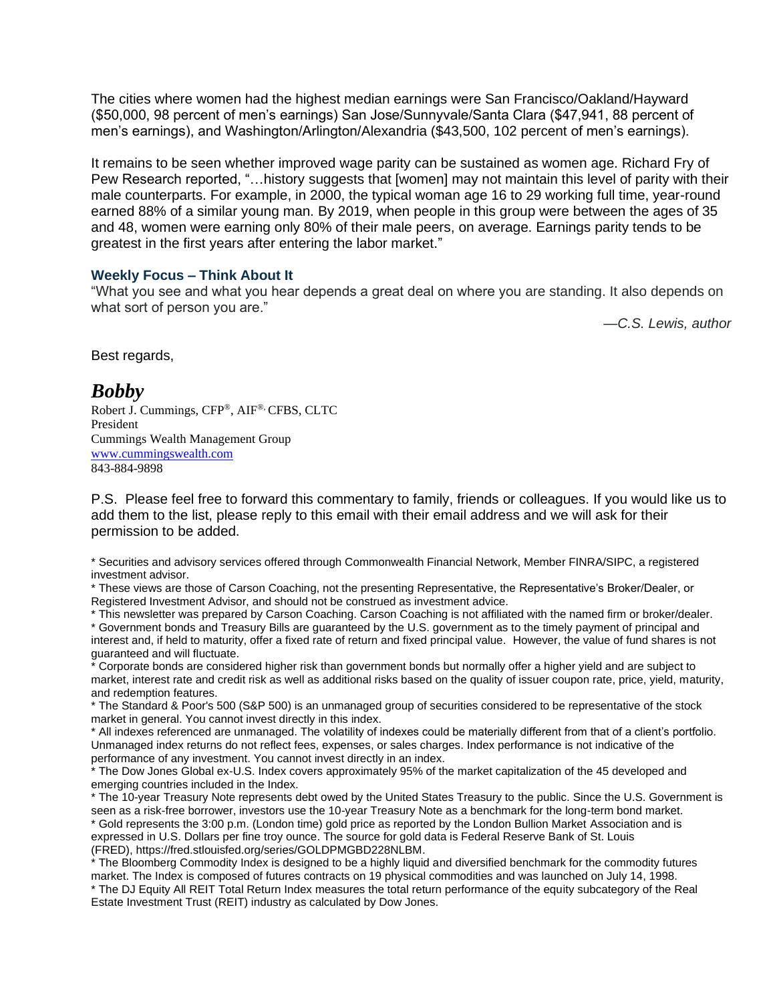The cities where women had the highest median earnings were San Francisco/Oakland/Hayward (\$50,000, 98 percent of men's earnings) San Jose/Sunnyvale/Santa Clara (\$47,941, 88 percent of men's earnings), and Washington/Arlington/Alexandria (\$43,500, 102 percent of men's earnings).

It remains to be seen whether improved wage parity can be sustained as women age. Richard Fry of Pew Research reported, "…history suggests that [women] may not maintain this level of parity with their male counterparts. For example, in 2000, the typical woman age 16 to 29 working full time, year-round earned 88% of a similar young man. By 2019, when people in this group were between the ages of 35 and 48, women were earning only 80% of their male peers, on average. Earnings parity tends to be greatest in the first years after entering the labor market."

#### **Weekly Focus – Think About It**

"What you see and what you hear depends a great deal on where you are standing. It also depends on what sort of person you are."

*—C.S. Lewis, author*

Best regards,

### *Bobby*

Robert J. Cummings, CFP®, AIF®, CFBS, CLTC President Cummings Wealth Management Group [www.cummingswealth.com](http://www.cummingswealth.com/) 843-884-9898

P.S. Please feel free to forward this commentary to family, friends or colleagues. If you would like us to add them to the list, please reply to this email with their email address and we will ask for their permission to be added.

\* Securities and advisory services offered through Commonwealth Financial Network, Member FINRA/SIPC, a registered investment advisor.

\* These views are those of Carson Coaching, not the presenting Representative, the Representative's Broker/Dealer, or Registered Investment Advisor, and should not be construed as investment advice.

\* This newsletter was prepared by Carson Coaching. Carson Coaching is not affiliated with the named firm or broker/dealer. \* Government bonds and Treasury Bills are guaranteed by the U.S. government as to the timely payment of principal and interest and, if held to maturity, offer a fixed rate of return and fixed principal value. However, the value of fund shares is not guaranteed and will fluctuate.

\* Corporate bonds are considered higher risk than government bonds but normally offer a higher yield and are subject to market, interest rate and credit risk as well as additional risks based on the quality of issuer coupon rate, price, yield, maturity, and redemption features.

\* The Standard & Poor's 500 (S&P 500) is an unmanaged group of securities considered to be representative of the stock market in general. You cannot invest directly in this index.

\* All indexes referenced are unmanaged. The volatility of indexes could be materially different from that of a client's portfolio. Unmanaged index returns do not reflect fees, expenses, or sales charges. Index performance is not indicative of the performance of any investment. You cannot invest directly in an index.

\* The Dow Jones Global ex-U.S. Index covers approximately 95% of the market capitalization of the 45 developed and emerging countries included in the Index.

\* The 10-year Treasury Note represents debt owed by the United States Treasury to the public. Since the U.S. Government is seen as a risk-free borrower, investors use the 10-year Treasury Note as a benchmark for the long-term bond market.

\* Gold represents the 3:00 p.m. (London time) gold price as reported by the London Bullion Market Association and is expressed in U.S. Dollars per fine troy ounce. The source for gold data is Federal Reserve Bank of St. Louis (FRED), https://fred.stlouisfed.org/series/GOLDPMGBD228NLBM.

\* The Bloomberg Commodity Index is designed to be a highly liquid and diversified benchmark for the commodity futures market. The Index is composed of futures contracts on 19 physical commodities and was launched on July 14, 1998. \* The DJ Equity All REIT Total Return Index measures the total return performance of the equity subcategory of the Real Estate Investment Trust (REIT) industry as calculated by Dow Jones.